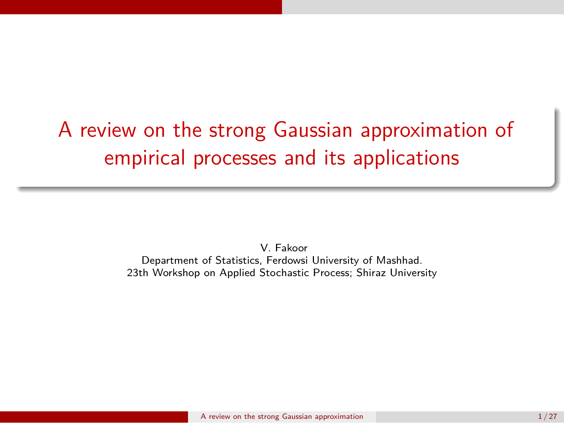A review on the strong Gaussian approximation of empirical processes and its applications

> V. Fakoor Department of Statistics, Ferdowsi University of Mashhad. 23th Workshop on Applied Stochastic Process; Shiraz University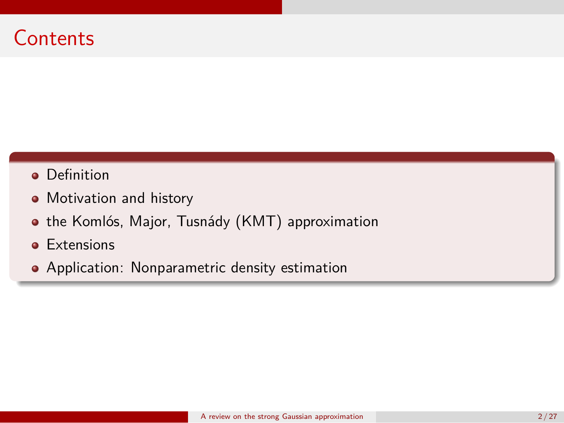## **Contents**

- **·** Definition
- Motivation and history
- the Komlós, Major, Tusnády (KMT) approximation
- **•** Extensions
- Application: Nonparametric density estimation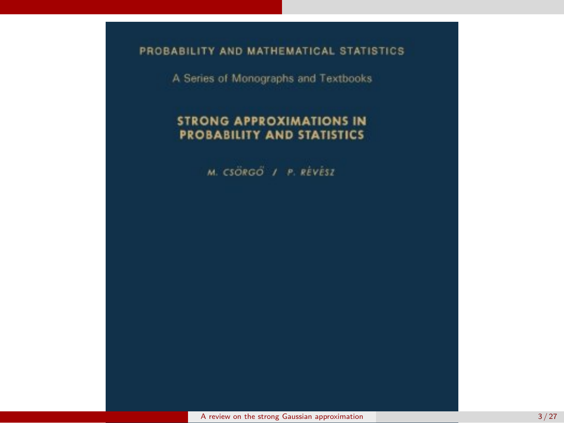#### PROBABILITY AND MATHEMATICAL STATISTICS

A Series of Monographs and Textbooks

# STRONG APPROXIMATIONS IN<br>PROBABILITY AND STATISTICS

M. CSÖRGŐ / P. RÉVÉSZ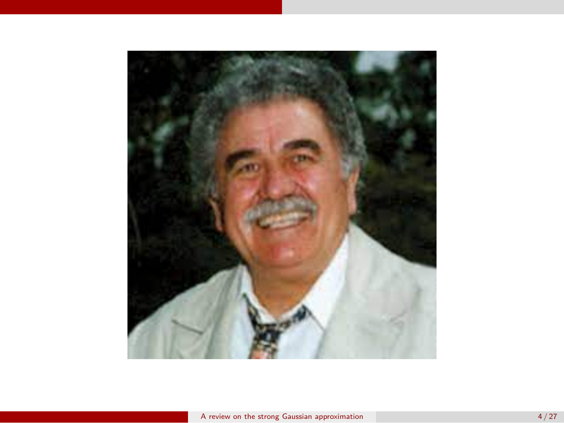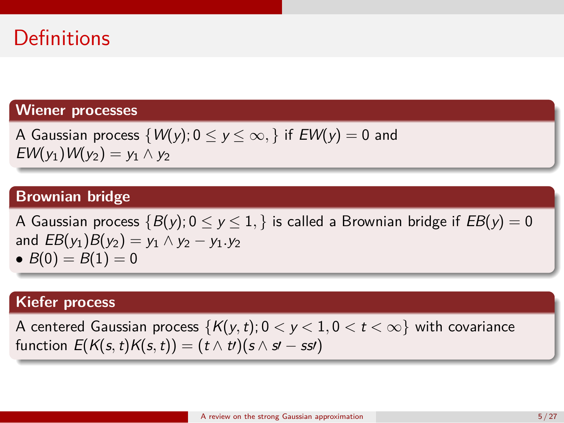## **Definitions**

#### **Wiener processes**

A Gaussian process  $\{W(y); 0 \le y \le \infty, \}$  if  $EW(y) = 0$  and *EW*(*y*<sub>1</sub>)*W*(*y*<sub>2</sub>) = *y*<sub>1</sub> ∧ *y*<sub>2</sub>

#### **Brownian bridge**

A Gaussian process  $\{B(y): 0 \le y \le 1, \}$  is called a Brownian bridge if  $EB(y) = 0$ and  $EB(y_1)B(y_2) = y_1 \wedge y_2 - y_1 \cdot y_2$ •  $B(0) = B(1) = 0$ 

#### **Kiefer process**

A centered Gaussian process  $\{K(y, t); 0 < y < 1, 0 < t < \infty\}$  with covariance function  $E(K(s, t)K(s, t)) = (t \wedge t') (s \wedge s' - ss')$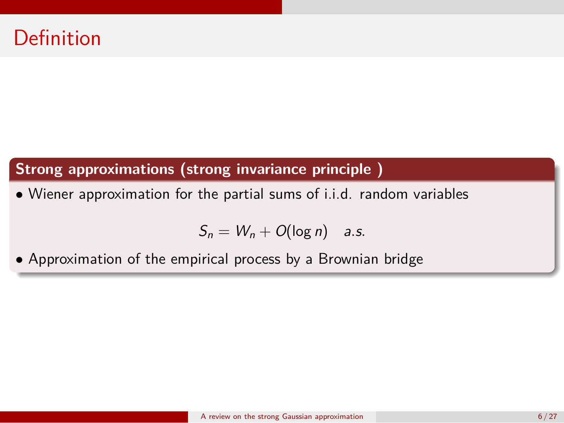## Definition

**Strong approximations (strong invariance principle )**

*•* Wiener approximation for the partial sums of i.i.d. random variables

 $S_n = W_n + O(\log n)$  *a.s.* 

*•* Approximation of the empirical process by a Brownian bridge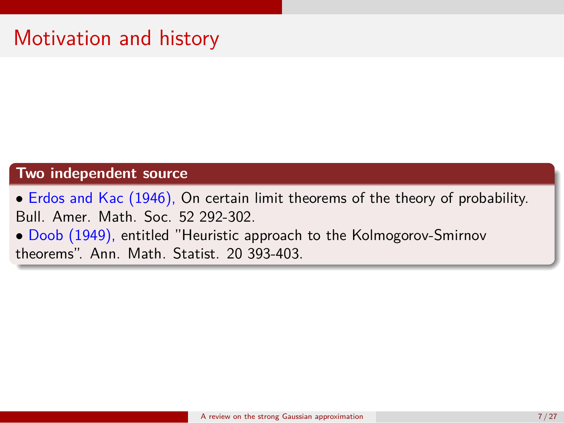# Motivation and history

#### **Two independent source**

*•* Erdos and Kac (1946), On certain limit theorems of the theory of probability. Bull. Amer. Math. Soc. 52 292-302. *•* Doob (1949), entitled "Heuristic approach to the Kolmogorov-Smirnov theorems". Ann. Math. Statist. 20 393-403.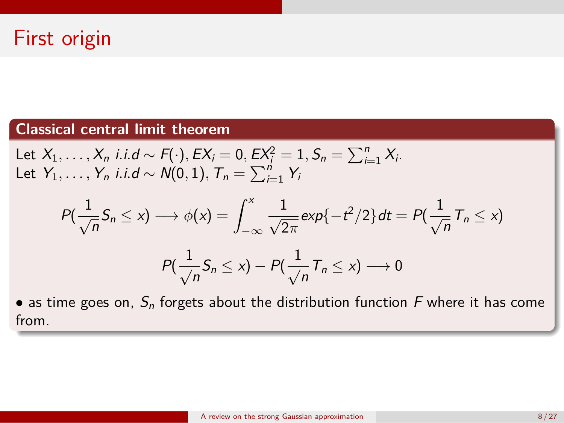## First origin

from.

### **Classical central limit theorem**

Let  $X_1, ..., X_n$  *i.i.d*  $\sim F(\cdot), EX_i = 0, EX_i^2 = 1, S_n = \sum_{i=1}^n X_i$ . Let  $Y_1, \ldots, Y_n$  *i.i.d*  $\sim N(0, 1), T_n = \sum_{i=1}^n Y_i$  $P(\frac{1}{\sqrt{n}}S_n \le x) \longrightarrow \phi(x) = \int_{-\infty}^{x}$ *−∞ √*<sub>2 $π$ </sub>  $\frac{1}{\sqrt{2π}}$  *exp*{*−t*<sup>2</sup>/2}*dt* = *P*( $\frac{1}{\sqrt{n}}$  *T*<sub>*n*</sub> ≤ *x*)  $P(\frac{1}{\sqrt{n}}S_n \le x) - P(\frac{1}{\sqrt{n}}T_n \le x) \longrightarrow 0$ *•* as time goes on, *S<sup>n</sup>* forgets about the distribution function *F* where it has come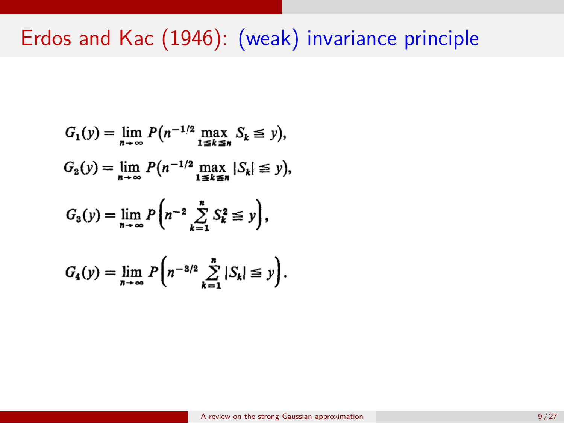# Erdos and Kac (1946): (weak) invariance principle

$$
G_1(y) = \lim_{n \to \infty} P(n^{-1/2} \max_{1 \le k \le n} S_k \le y),
$$
  
\n
$$
G_2(y) = \lim_{n \to \infty} P(n^{-1/2} \max_{1 \le k \le n} |S_k| \le y),
$$
  
\n
$$
G_3(y) = \lim_{n \to \infty} P(n^{-2} \sum_{k=1}^n S_k^2 \le y),
$$
  
\n
$$
G_4(y) = \lim_{n \to \infty} P(n^{-3/2} \sum_{k=1}^n |S_k| \le y).
$$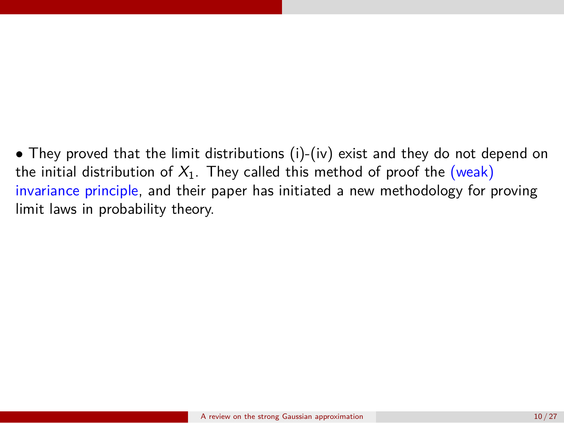*•* They proved that the limit distributions (i)-(iv) exist and they do not depend on the initial distribution of  $X_1$ . They called this method of proof the (weak) invariance principle, and their paper has initiated a new methodology for proving limit laws in probability theory.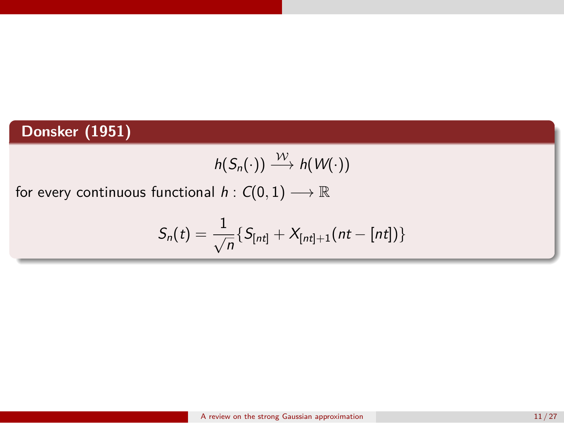### **Donsker (1951)**

$$
h(S_n(\cdot)) \xrightarrow{\mathcal{W}} h(W(\cdot))
$$

for every continuous functional *h* : *C*(0*,* 1) *−→* R

$$
S_n(t) = \frac{1}{\sqrt{n}} \{ S_{[nt]} + X_{[nt]+1}(nt - [nt]) \}
$$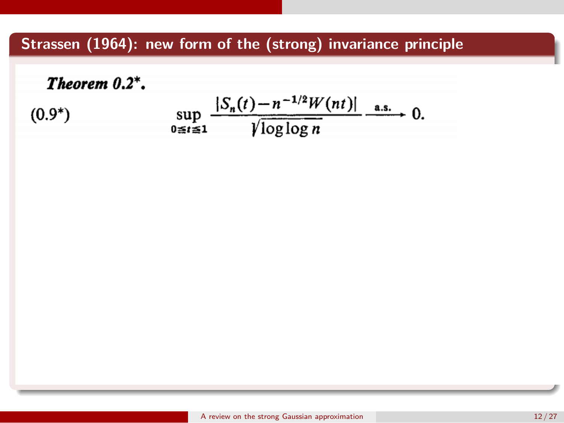## **Strassen (1964): new form of the (strong) invariance principle**

Theorem  $0.2^*$ .

 $(0.9^*)$ 

$$
\sup_{0\leq t\leq 1}\frac{|S_n(t)-n^{-1/2}W(nt)|}{\sqrt{\log\log n}}\stackrel{\text{a.s.}}{\longrightarrow} 0.
$$

◢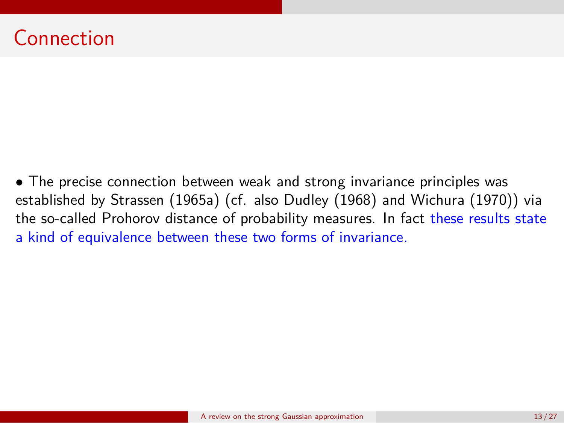## Connection

*•* The precise connection between weak and strong invariance principles was established by Strassen (1965a) (cf. also Dudley (1968) and Wichura (1970)) via the so-called Prohorov distance of probability measures. In fact these results state a kind of equivalence between these two forms of invariance.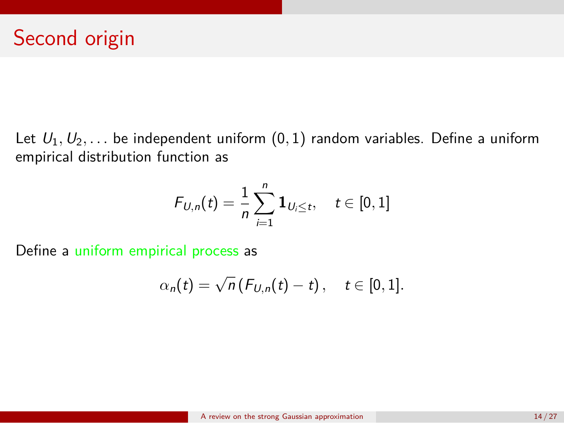Let *U*1*,U*2*, . . .* be independent uniform (0*,* 1) random variables. Define a uniform empirical distribution function as

$$
F_{U,n}(t) = \frac{1}{n} \sum_{i=1}^{n} \mathbf{1}_{U_i \leq t}, \quad t \in [0,1]
$$

Define a uniform empirical process as

$$
\alpha_n(t)=\sqrt{n}\left(F_{U,n}(t)-t\right),\quad t\in[0,1].
$$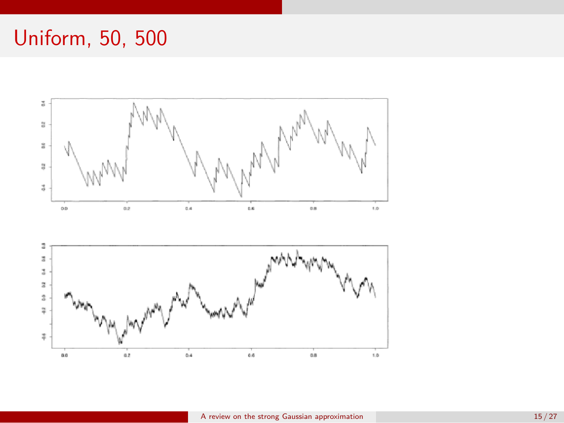# Uniform, 50, 500

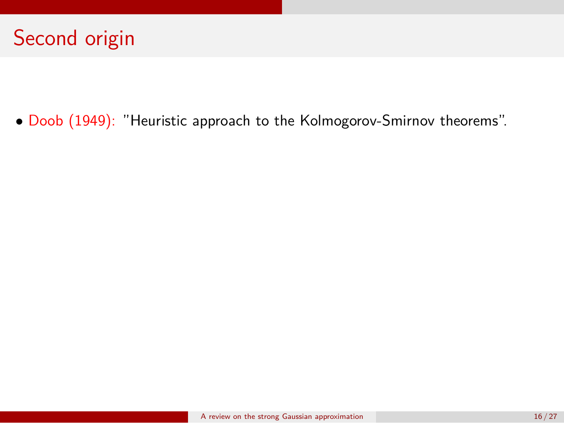*•* Doob (1949): "Heuristic approach to the Kolmogorov-Smirnov theorems".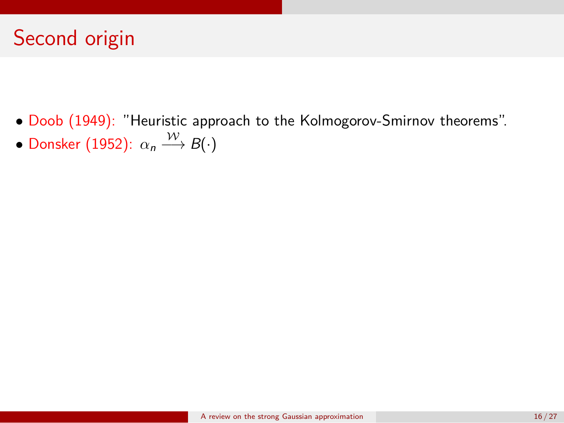- *•* Doob (1949): "Heuristic approach to the Kolmogorov-Smirnov theorems".
- *•* Donsker (1952):  $\alpha_n \stackrel{\gamma \gamma}{\longrightarrow} B(·)$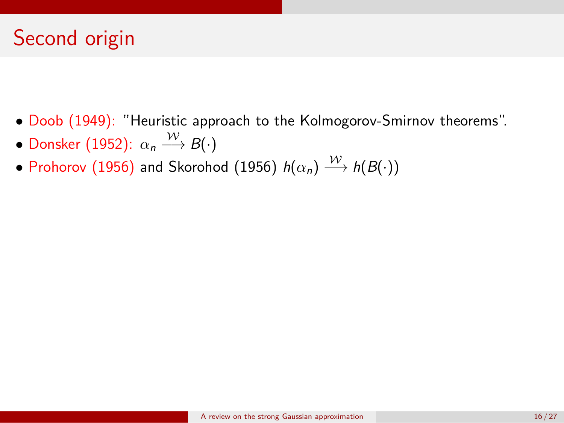- *•* Doob (1949): "Heuristic approach to the Kolmogorov-Smirnov theorems".
- *•* Donsker (1952):  $\alpha_n \stackrel{\gamma \gamma}{\longrightarrow} B(·)$
- Prohorov (1956) and Skorohod (1956)  $h(\alpha_n) \stackrel{\mathcal{W}}{\longrightarrow} h(B(\cdot))$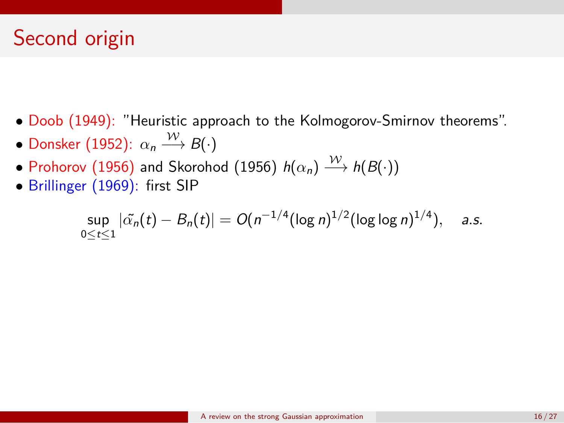- *•* Doob (1949): "Heuristic approach to the Kolmogorov-Smirnov theorems".
- *•* Donsker (1952):  $\alpha_n \stackrel{\gamma \gamma}{\longrightarrow} B(·)$
- Prohorov (1956) and Skorohod (1956)  $h(\alpha_n) \stackrel{\mathcal{W}}{\longrightarrow} h(B(\cdot))$
- *•* Brillinger (1969): first SIP
	- sup 0*≤t≤*1  $|\tilde{a}_n(t) - B_n(t)| = O(n^{-1/4} (\log n)^{1/2} (\log \log n)^{1/4}), \quad \text{a.s.}$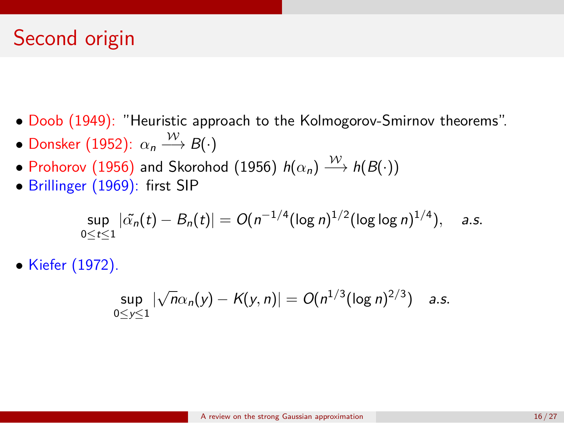- *•* Doob (1949): "Heuristic approach to the Kolmogorov-Smirnov theorems".
- *•* Donsker (1952):  $\alpha_n \stackrel{\gamma \gamma}{\longrightarrow} B(·)$
- Prohorov (1956) and Skorohod (1956)  $h(\alpha_n) \stackrel{\mathcal{W}}{\longrightarrow} h(B(\cdot))$
- *•* Brillinger (1969): first SIP

$$
\sup_{0\leq t\leq 1}|\tilde{\alpha_n}(t)-B_n(t)|=O(n^{-1/4}(\log n)^{1/2}(\log\log n)^{1/4}),\quad a.s.
$$

*•* Kiefer (1972).

$$
\sup_{0\leq y\leq 1} |\sqrt{n}\alpha_n(y)-K(y,n)|=O(n^{1/3}(\log n)^{2/3}) \quad a.s.
$$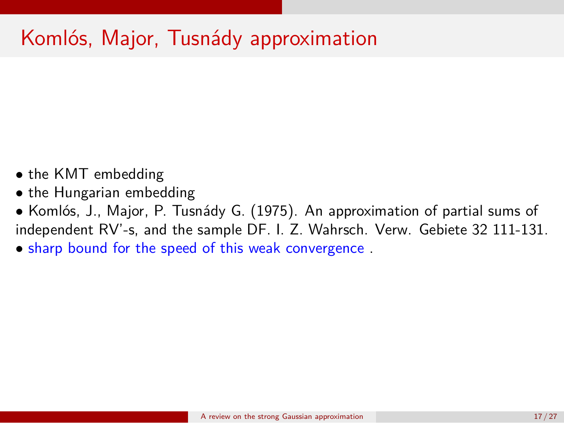Komlós, Major, Tusnády approximation

*•* the KMT embedding

*•* the Hungarian embedding

*•* Komlós, J., Major, P. Tusnády G. (1975). An approximation of partial sums of

independent RV'-s, and the sample DF. I. Z. Wahrsch. Verw. Gebiete 32 111-131.

*•* sharp bound for the speed of this weak convergence .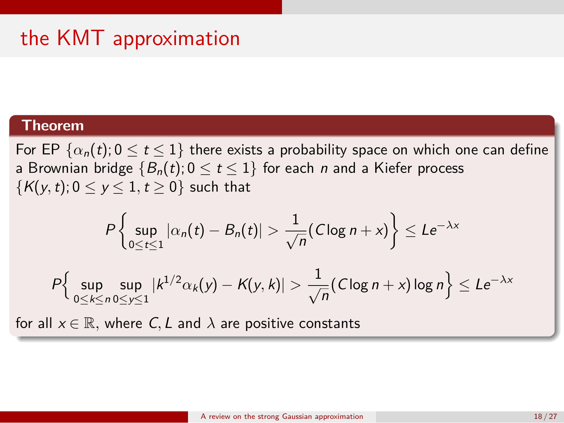# the KMT approximation

### **Theorem**

For EP  $\{\alpha_n(t); 0 \le t \le 1\}$  there exists a probability space on which one can define a Brownian bridge  $\{B_n(t), 0 \le t \le 1\}$  for each *n* and a Kiefer process  ${K(y, t): 0 \le y \le 1, t \ge 0}$  such that

$$
P\left\{\sup_{0\leq t\leq 1}|\alpha_n(t)-B_n(t)|>\frac{1}{\sqrt{n}}(C\log n+x)\right\}\leq L e^{-\lambda x}
$$

$$
P\Big\{\sup_{0\leq k\leq n}\sup_{0\leq y\leq 1}|k^{1/2}\alpha_k(y)-K(y,k)|>\frac{1}{\sqrt{n}}(C\log n+x)\log n\Big\}\leq L e^{-\lambda x}
$$

for all  $x \in \mathbb{R}$ , where *C*, *L* and  $\lambda$  are positive constants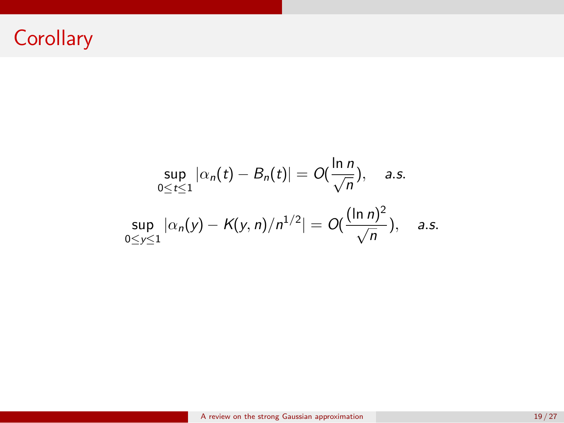# **Corollary**

$$
\sup_{0\leq t\leq 1}|\alpha_n(t)-B_n(t)|=O(\frac{\ln n}{\sqrt{n}}), \quad \text{a.s.}
$$
  

$$
\sup_{0\leq y\leq 1}|\alpha_n(y)-K(y,n)/n^{1/2}|=O(\frac{(\ln n)^2}{\sqrt{n}}), \quad \text{a.s.}
$$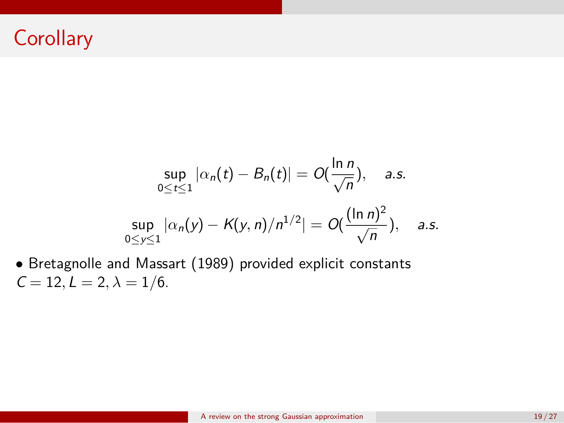# **Corollary**

$$
\sup_{0 \le t \le 1} |\alpha_n(t) - B_n(t)| = O(\frac{\ln n}{\sqrt{n}}), \quad \text{a.s.}
$$
  

$$
\sup_{0 \le y \le 1} |\alpha_n(y) - K(y, n)/n^{1/2}| = O(\frac{(\ln n)^2}{\sqrt{n}}), \quad \text{a.s.}
$$

*•* Bretagnolle and Massart (1989) provided explicit constants  $C = 12, L = 2, \lambda = 1/6.$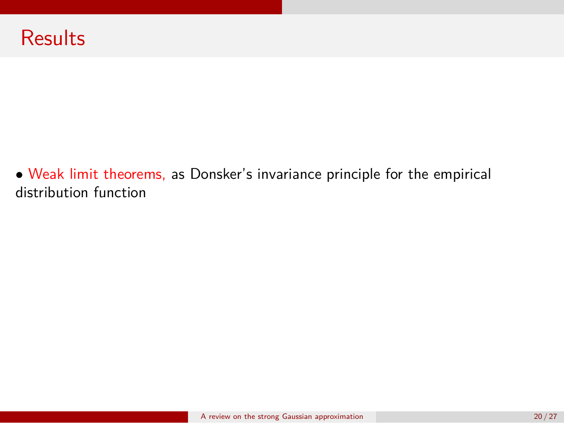# Results

*•* Weak limit theorems, as Donsker's invariance principle for the empirical distribution function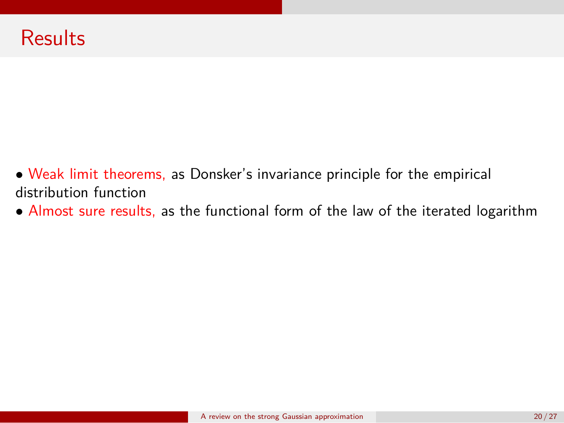# **Results**

*•* Weak limit theorems, as Donsker's invariance principle for the empirical distribution function

*•* Almost sure results, as the functional form of the law of the iterated logarithm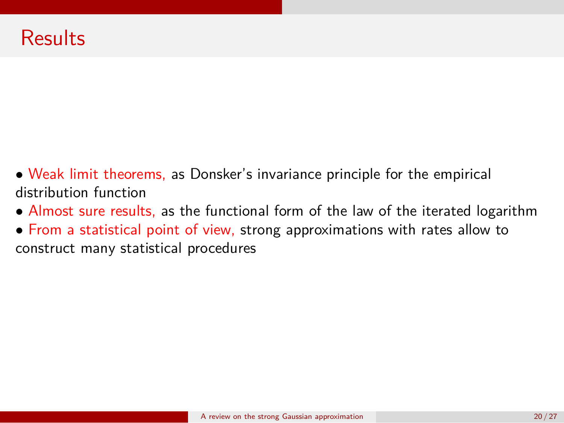## Results

*•* Weak limit theorems, as Donsker's invariance principle for the empirical distribution function

*•* Almost sure results, as the functional form of the law of the iterated logarithm

*•* From a statistical point of view, strong approximations with rates allow to

construct many statistical procedures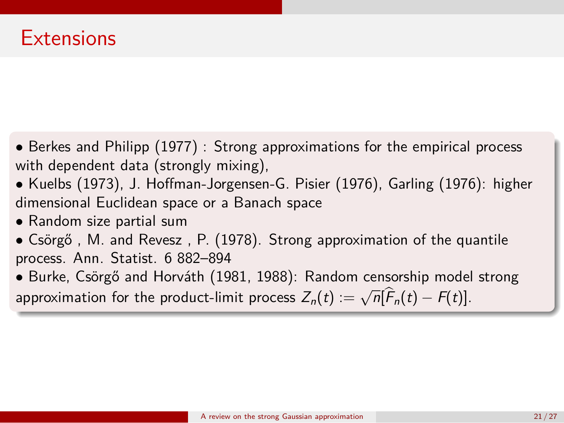### **Extensions**

- *•* Berkes and Philipp (1977) : Strong approximations for the empirical process with dependent data (strongly mixing),
- *•* Kuelbs (1973), J. Hoffman-Jorgensen-G. Pisier (1976), Garling (1976): higher dimensional Euclidean space or a Banach space
- *•* Random size partial sum
- *•* Csörgő , M. and Revesz , P. (1978). Strong approximation of the quantile process. Ann. Statist. 6 882–894

*•* Burke, Csörgő and Horváth (1981, 1988): Random censorship model strong approximation for the product-limit process  $Z_n(t) := \sqrt{n}[\hat{F}_n(t) - F(t)]$ .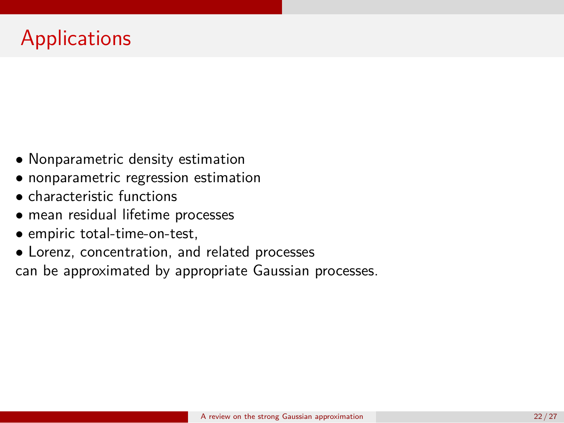# Applications

- *•* Nonparametric density estimation
- *•* nonparametric regression estimation
- *•* characteristic functions
- *•* mean residual lifetime processes
- *•* empiric total-time-on-test,
- *•* Lorenz, concentration, and related processes

can be approximated by appropriate Gaussian processes.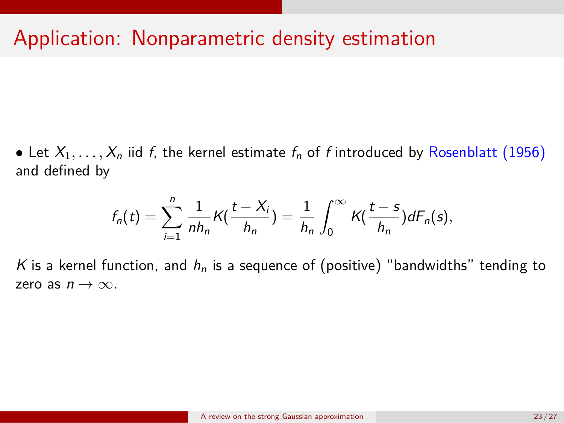# Application: Nonparametric density estimation

*•* Let *X*1*, . . . , X<sup>n</sup>* iid *f*, the kernel estimate *f<sup>n</sup>* of *f* introduced by Rosenblatt (1956) and defined by

$$
f_n(t)=\sum_{i=1}^n\frac{1}{nh_n}K(\frac{t-X_i}{h_n})=\frac{1}{h_n}\int_0^\infty K(\frac{t-s}{h_n})dF_n(s),
$$

*K* is a kernel function, and *h<sup>n</sup>* is a sequence of (positive) "bandwidths" tending to zero as  $n \to \infty$ .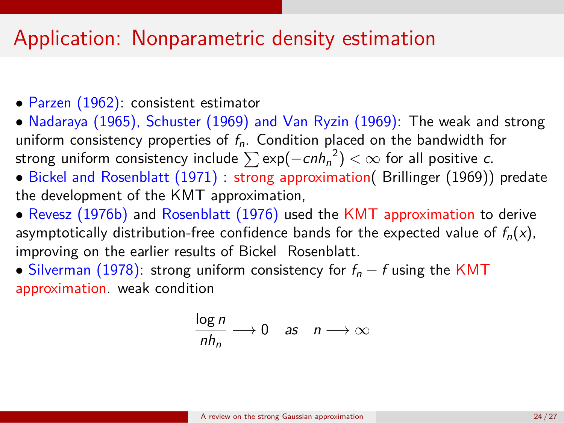### Application: Nonparametric density estimation

*•* Parzen (1962): consistent estimator

*•* Nadaraya (1965), Schuster (1969) and Van Ryzin (1969): The weak and strong uniform consistency properties of *fn*. Condition placed on the bandwidth for  $\textsf{strong uniform consistency}$  include  $\sum \exp(-cn{h_n}^2)<\infty$  for all positive  $c$ .

*•* Bickel and Rosenblatt (1971) : strong approximation( Brillinger (1969)) predate the development of the KMT approximation,

*•* Revesz (1976b) and Rosenblatt (1976) used the KMT approximation to derive asymptotically distribution-free confidence bands for the expected value of  $f_n(x)$ , improving on the earlier results of Bickel Rosenblatt.

*•* Silverman (1978): strong uniform consistency for *f<sup>n</sup> − f* using the KMT approximation. weak condition

$$
\frac{\log n}{nh_n}\longrightarrow 0 \quad as \quad n\longrightarrow\infty
$$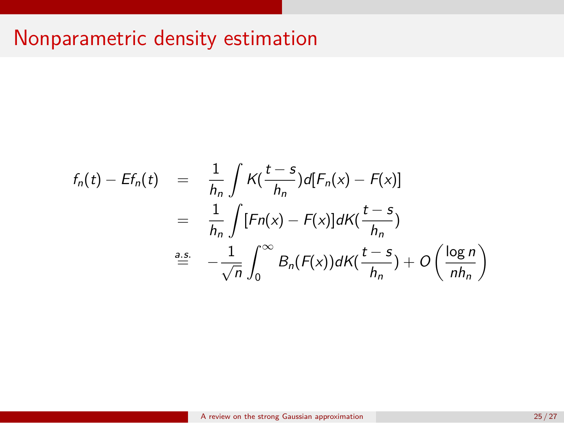# Nonparametric density estimation

$$
f_n(t) - Ef_n(t) = \frac{1}{h_n} \int K(\frac{t-s}{h_n}) d[F_n(x) - F(x)]
$$
  

$$
= \frac{1}{h_n} \int [Fn(x) - F(x)] dK(\frac{t-s}{h_n})
$$
  

$$
\stackrel{a.s.}{=} -\frac{1}{\sqrt{n}} \int_0^\infty B_n(F(x)) dK(\frac{t-s}{h_n}) + O\left(\frac{\log n}{nh_n}\right)
$$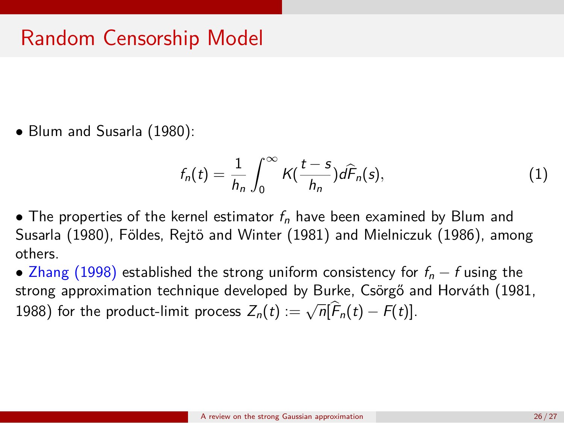## Random Censorship Model

*•* Blum and Susarla (1980):

$$
f_n(t) = \frac{1}{h_n} \int_0^\infty K(\frac{t-s}{h_n}) d\widehat{F}_n(s), \tag{1}
$$

*•* The properties of the kernel estimator *f<sup>n</sup>* have been examined by Blum and Susarla (1980), Földes, Rejtö and Winter (1981) and Mielniczuk (1986), among others.

*•* Zhang (1998) established the strong uniform consistency for *f<sup>n</sup> − f* using the strong approximation technique developed by Burke, Csörgő and Horváth (1981, 1988) for the product-limit process  $Z_n(t) := \sqrt{n}[\hat{F}_n(t) - F(t)]$ .